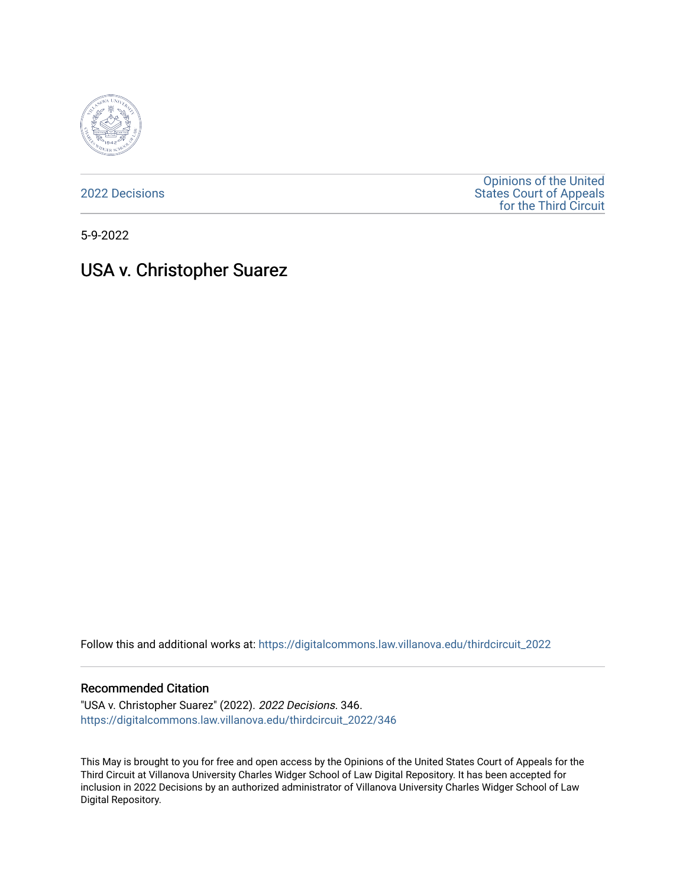

[2022 Decisions](https://digitalcommons.law.villanova.edu/thirdcircuit_2022)

[Opinions of the United](https://digitalcommons.law.villanova.edu/thirdcircuit)  [States Court of Appeals](https://digitalcommons.law.villanova.edu/thirdcircuit)  [for the Third Circuit](https://digitalcommons.law.villanova.edu/thirdcircuit) 

5-9-2022

# USA v. Christopher Suarez

Follow this and additional works at: [https://digitalcommons.law.villanova.edu/thirdcircuit\\_2022](https://digitalcommons.law.villanova.edu/thirdcircuit_2022?utm_source=digitalcommons.law.villanova.edu%2Fthirdcircuit_2022%2F346&utm_medium=PDF&utm_campaign=PDFCoverPages) 

#### Recommended Citation

"USA v. Christopher Suarez" (2022). 2022 Decisions. 346. [https://digitalcommons.law.villanova.edu/thirdcircuit\\_2022/346](https://digitalcommons.law.villanova.edu/thirdcircuit_2022/346?utm_source=digitalcommons.law.villanova.edu%2Fthirdcircuit_2022%2F346&utm_medium=PDF&utm_campaign=PDFCoverPages)

This May is brought to you for free and open access by the Opinions of the United States Court of Appeals for the Third Circuit at Villanova University Charles Widger School of Law Digital Repository. It has been accepted for inclusion in 2022 Decisions by an authorized administrator of Villanova University Charles Widger School of Law Digital Repository.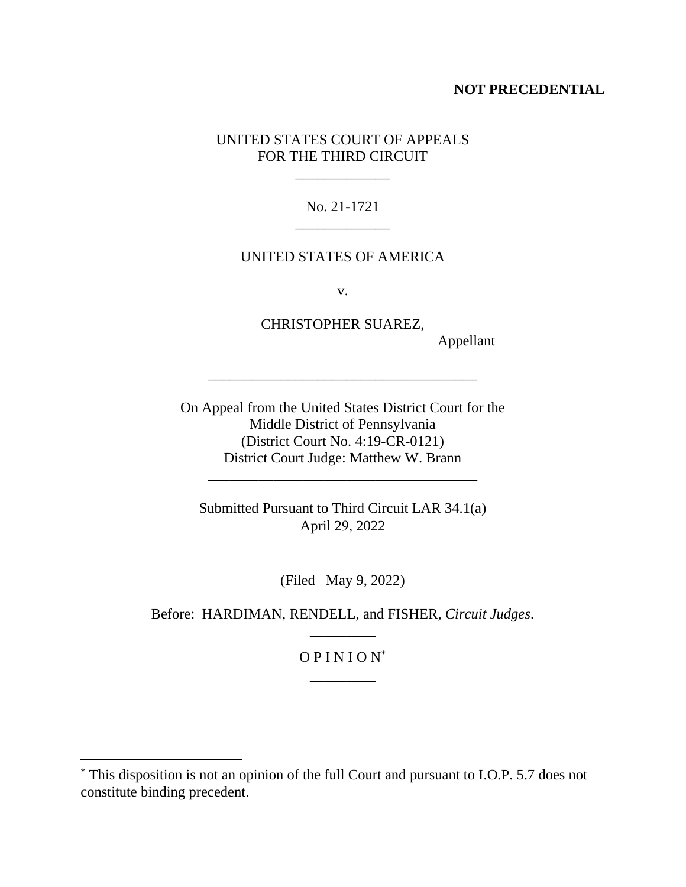# **NOT PRECEDENTIAL**

# UNITED STATES COURT OF APPEALS FOR THE THIRD CIRCUIT

\_\_\_\_\_\_\_\_\_\_\_\_\_

No. 21-1721 \_\_\_\_\_\_\_\_\_\_\_\_\_

### UNITED STATES OF AMERICA

v.

CHRISTOPHER SUAREZ, Appellant

On Appeal from the United States District Court for the Middle District of Pennsylvania (District Court No. 4:19-CR-0121) District Court Judge: Matthew W. Brann

\_\_\_\_\_\_\_\_\_\_\_\_\_\_\_\_\_\_\_\_\_\_\_\_\_\_\_\_\_\_\_\_\_\_\_\_\_

Submitted Pursuant to Third Circuit LAR 34.1(a) April 29, 2022

\_\_\_\_\_\_\_\_\_\_\_\_\_\_\_\_\_\_\_\_\_\_\_\_\_\_\_\_\_\_\_\_\_\_\_\_\_

(Filed May 9, 2022)

Before: HARDIMAN, RENDELL, and FISHER, *Circuit Judges*. \_\_\_\_\_\_\_\_\_

> $OPINION^*$ \_\_\_\_\_\_\_\_\_

<sup>\*</sup> This disposition is not an opinion of the full Court and pursuant to I.O.P. 5.7 does not constitute binding precedent.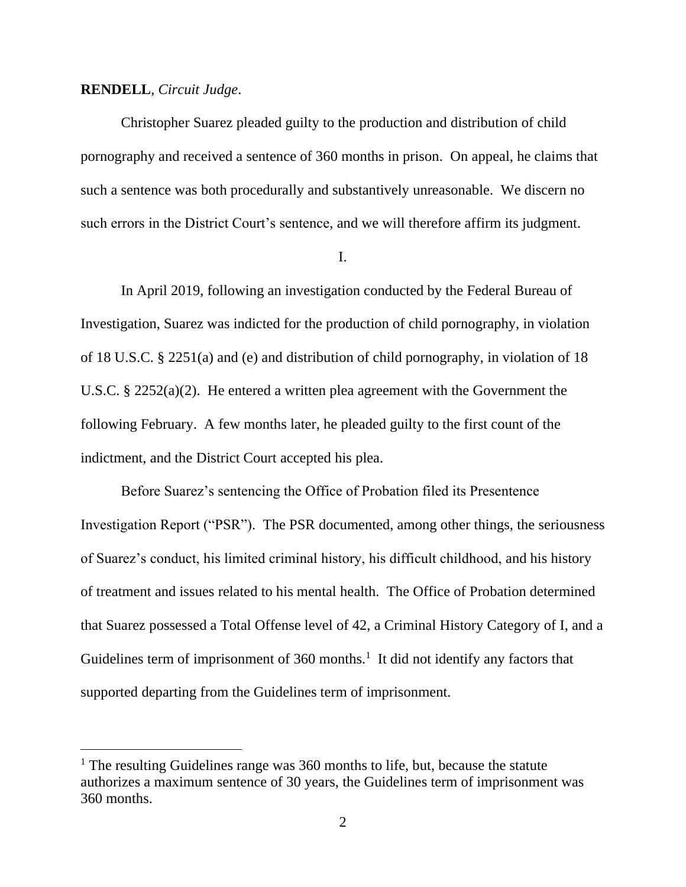#### **RENDELL**, *Circuit Judge*.

Christopher Suarez pleaded guilty to the production and distribution of child pornography and received a sentence of 360 months in prison. On appeal, he claims that such a sentence was both procedurally and substantively unreasonable. We discern no such errors in the District Court's sentence, and we will therefore affirm its judgment.

I.

In April 2019, following an investigation conducted by the Federal Bureau of Investigation, Suarez was indicted for the production of child pornography, in violation of 18 U.S.C. § 2251(a) and (e) and distribution of child pornography, in violation of 18 U.S.C. § 2252(a)(2). He entered a written plea agreement with the Government the following February. A few months later, he pleaded guilty to the first count of the indictment, and the District Court accepted his plea.

Before Suarez's sentencing the Office of Probation filed its Presentence Investigation Report ("PSR"). The PSR documented, among other things, the seriousness of Suarez's conduct, his limited criminal history, his difficult childhood, and his history of treatment and issues related to his mental health. The Office of Probation determined that Suarez possessed a Total Offense level of 42, a Criminal History Category of I, and a Guidelines term of imprisonment of  $360$  months.<sup>1</sup> It did not identify any factors that supported departing from the Guidelines term of imprisonment.

<sup>&</sup>lt;sup>1</sup> The resulting Guidelines range was  $360$  months to life, but, because the statute authorizes a maximum sentence of 30 years, the Guidelines term of imprisonment was 360 months.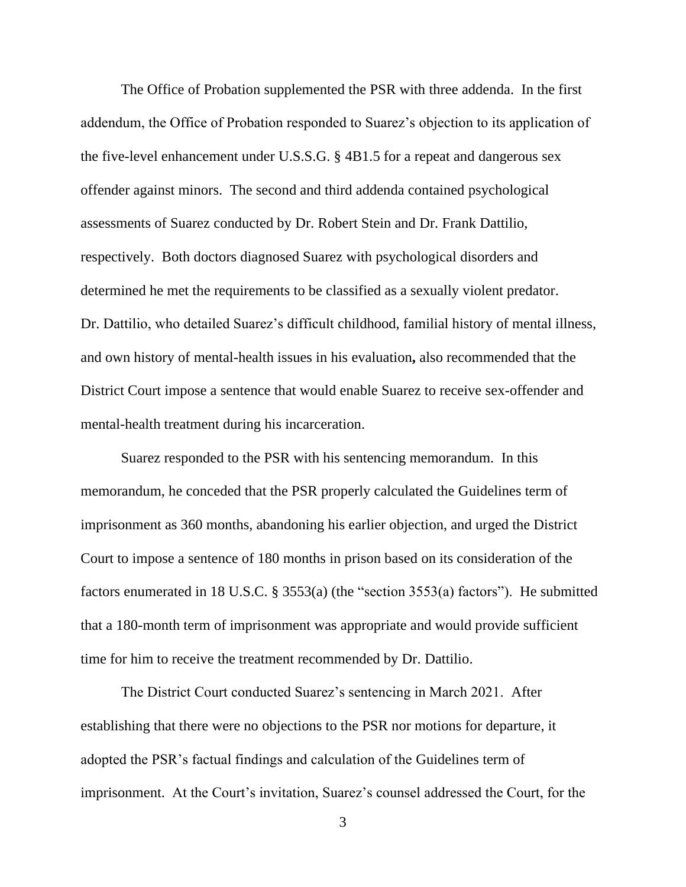The Office of Probation supplemented the PSR with three addenda. In the first addendum, the Office of Probation responded to Suarez's objection to its application of the five-level enhancement under U.S.S.G. § 4B1.5 for a repeat and dangerous sex offender against minors. The second and third addenda contained psychological assessments of Suarez conducted by Dr. Robert Stein and Dr. Frank Dattilio, respectively. Both doctors diagnosed Suarez with psychological disorders and determined he met the requirements to be classified as a sexually violent predator. Dr. Dattilio, who detailed Suarez's difficult childhood, familial history of mental illness, and own history of mental-health issues in his evaluation**,** also recommended that the District Court impose a sentence that would enable Suarez to receive sex-offender and mental-health treatment during his incarceration.

Suarez responded to the PSR with his sentencing memorandum. In this memorandum, he conceded that the PSR properly calculated the Guidelines term of imprisonment as 360 months, abandoning his earlier objection, and urged the District Court to impose a sentence of 180 months in prison based on its consideration of the factors enumerated in 18 U.S.C. § 3553(a) (the "section 3553(a) factors"). He submitted that a 180-month term of imprisonment was appropriate and would provide sufficient time for him to receive the treatment recommended by Dr. Dattilio.

The District Court conducted Suarez's sentencing in March 2021. After establishing that there were no objections to the PSR nor motions for departure, it adopted the PSR's factual findings and calculation of the Guidelines term of imprisonment. At the Court's invitation, Suarez's counsel addressed the Court, for the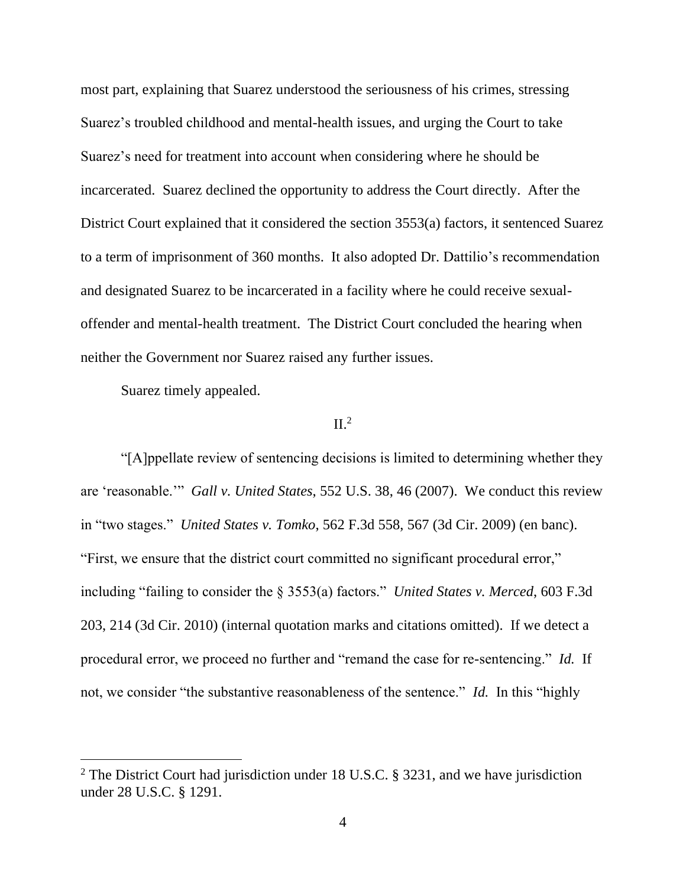most part, explaining that Suarez understood the seriousness of his crimes, stressing Suarez's troubled childhood and mental-health issues, and urging the Court to take Suarez's need for treatment into account when considering where he should be incarcerated. Suarez declined the opportunity to address the Court directly. After the District Court explained that it considered the section 3553(a) factors, it sentenced Suarez to a term of imprisonment of 360 months. It also adopted Dr. Dattilio's recommendation and designated Suarez to be incarcerated in a facility where he could receive sexualoffender and mental-health treatment. The District Court concluded the hearing when neither the Government nor Suarez raised any further issues.

Suarez timely appealed.

#### $II.<sup>2</sup>$

"[A]ppellate review of sentencing decisions is limited to determining whether they are 'reasonable.'" *Gall v. United States*, 552 U.S. 38, 46 (2007). We conduct this review in "two stages." *United States v. Tomko*, 562 F.3d 558, 567 (3d Cir. 2009) (en banc). "First, we ensure that the district court committed no significant procedural error," including "failing to consider the § 3553(a) factors." *United States v. Merced*, 603 F.3d 203, 214 (3d Cir. 2010) (internal quotation marks and citations omitted). If we detect a procedural error, we proceed no further and "remand the case for re-sentencing." *Id.* If not, we consider "the substantive reasonableness of the sentence." *Id.* In this "highly

<sup>&</sup>lt;sup>2</sup> The District Court had jurisdiction under 18 U.S.C. § 3231, and we have jurisdiction under 28 U.S.C. § 1291.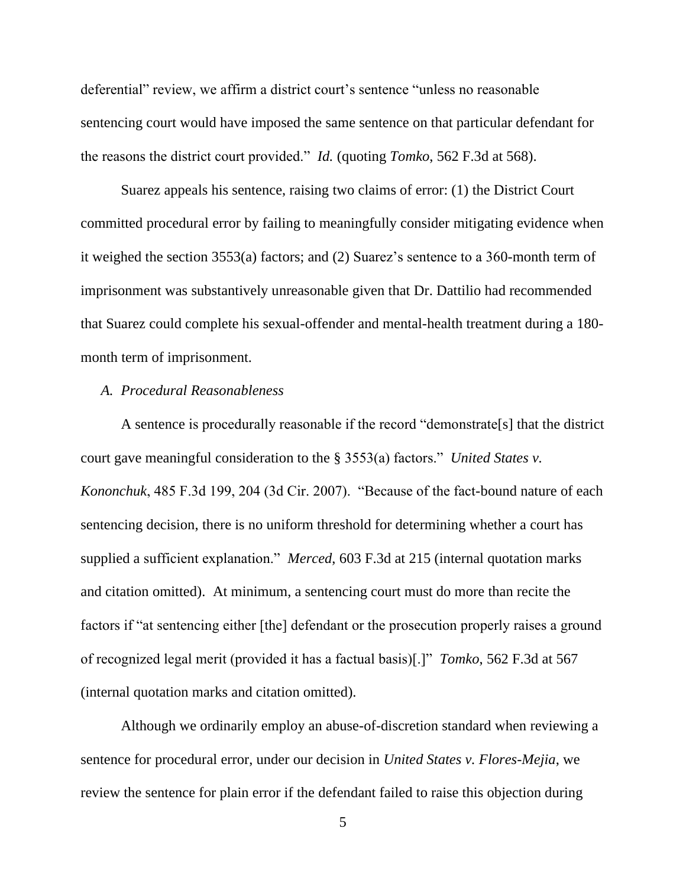deferential" review, we affirm a district court's sentence "unless no reasonable sentencing court would have imposed the same sentence on that particular defendant for the reasons the district court provided." *Id.* (quoting *Tomko*, 562 F.3d at 568).

Suarez appeals his sentence, raising two claims of error: (1) the District Court committed procedural error by failing to meaningfully consider mitigating evidence when it weighed the section 3553(a) factors; and (2) Suarez's sentence to a 360-month term of imprisonment was substantively unreasonable given that Dr. Dattilio had recommended that Suarez could complete his sexual-offender and mental-health treatment during a 180 month term of imprisonment.

## *A. Procedural Reasonableness*

A sentence is procedurally reasonable if the record "demonstrate[s] that the district court gave meaningful consideration to the § 3553(a) factors." *United States v. Kononchuk*, 485 F.3d 199, 204 (3d Cir. 2007). "Because of the fact-bound nature of each sentencing decision, there is no uniform threshold for determining whether a court has supplied a sufficient explanation." *Merced*, 603 F.3d at 215 (internal quotation marks and citation omitted). At minimum, a sentencing court must do more than recite the factors if "at sentencing either [the] defendant or the prosecution properly raises a ground of recognized legal merit (provided it has a factual basis)[.]" *Tomko*, 562 F.3d at 567 (internal quotation marks and citation omitted).

Although we ordinarily employ an abuse-of-discretion standard when reviewing a sentence for procedural error, under our decision in *United States v. Flores-Mejia*, we review the sentence for plain error if the defendant failed to raise this objection during

5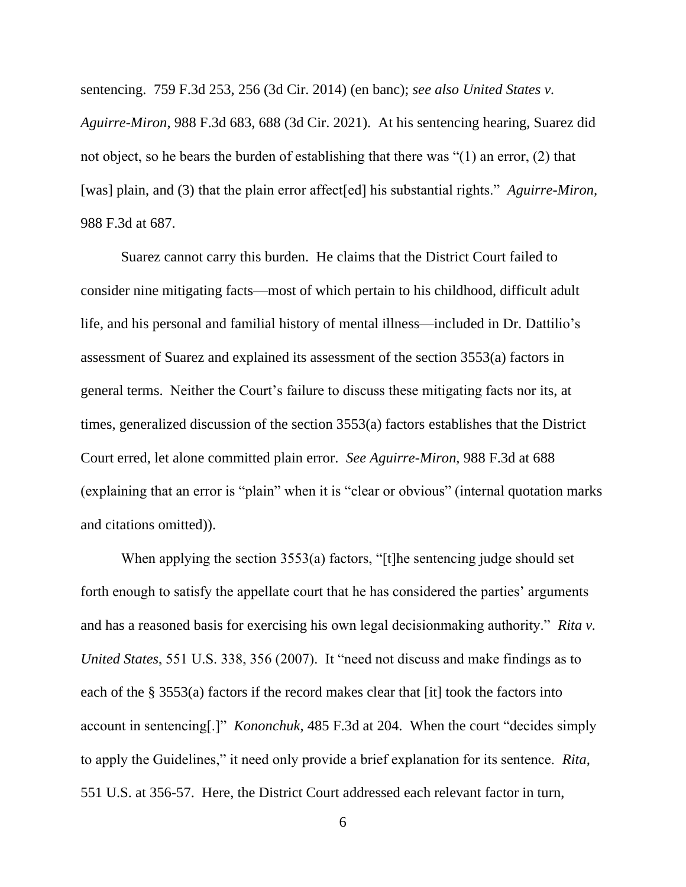sentencing. 759 F.3d 253, 256 (3d Cir. 2014) (en banc); *see also United States v. Aguirre-Miron*, 988 F.3d 683, 688 (3d Cir. 2021). At his sentencing hearing, Suarez did not object, so he bears the burden of establishing that there was "(1) an error, (2) that [was] plain, and (3) that the plain error affect[ed] his substantial rights." *Aguirre-Miron,* 988 F.3d at 687.

Suarez cannot carry this burden. He claims that the District Court failed to consider nine mitigating facts—most of which pertain to his childhood, difficult adult life, and his personal and familial history of mental illness—included in Dr. Dattilio's assessment of Suarez and explained its assessment of the section 3553(a) factors in general terms. Neither the Court's failure to discuss these mitigating facts nor its, at times, generalized discussion of the section 3553(a) factors establishes that the District Court erred, let alone committed plain error. *See Aguirre-Miron*, 988 F.3d at 688 (explaining that an error is "plain" when it is "clear or obvious" (internal quotation marks and citations omitted)).

When applying the section 3553(a) factors, "[t]he sentencing judge should set forth enough to satisfy the appellate court that he has considered the parties' arguments and has a reasoned basis for exercising his own legal decisionmaking authority." *Rita v. United States*, 551 U.S. 338, 356 (2007). It "need not discuss and make findings as to each of the § 3553(a) factors if the record makes clear that [it] took the factors into account in sentencing[.]" *Kononchuk*, 485 F.3d at 204. When the court "decides simply to apply the Guidelines," it need only provide a brief explanation for its sentence. *Rita,*  551 U.S. at 356-57. Here, the District Court addressed each relevant factor in turn,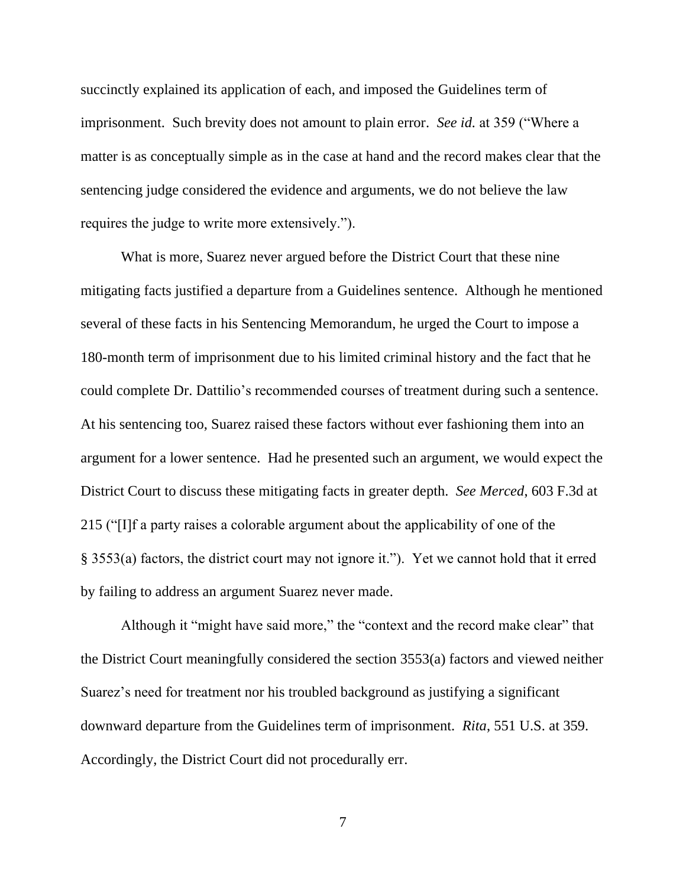succinctly explained its application of each, and imposed the Guidelines term of imprisonment. Such brevity does not amount to plain error. *See id.* at 359 ("Where a matter is as conceptually simple as in the case at hand and the record makes clear that the sentencing judge considered the evidence and arguments, we do not believe the law requires the judge to write more extensively.").

What is more, Suarez never argued before the District Court that these nine mitigating facts justified a departure from a Guidelines sentence. Although he mentioned several of these facts in his Sentencing Memorandum, he urged the Court to impose a 180-month term of imprisonment due to his limited criminal history and the fact that he could complete Dr. Dattilio's recommended courses of treatment during such a sentence. At his sentencing too, Suarez raised these factors without ever fashioning them into an argument for a lower sentence. Had he presented such an argument, we would expect the District Court to discuss these mitigating facts in greater depth. *See Merced*, 603 F.3d at 215 ("[I]f a party raises a colorable argument about the applicability of one of the § 3553(a) factors, the district court may not ignore it."). Yet we cannot hold that it erred by failing to address an argument Suarez never made.

Although it "might have said more," the "context and the record make clear" that the District Court meaningfully considered the section 3553(a) factors and viewed neither Suarez's need for treatment nor his troubled background as justifying a significant downward departure from the Guidelines term of imprisonment. *Rita*, 551 U.S. at 359. Accordingly, the District Court did not procedurally err.

7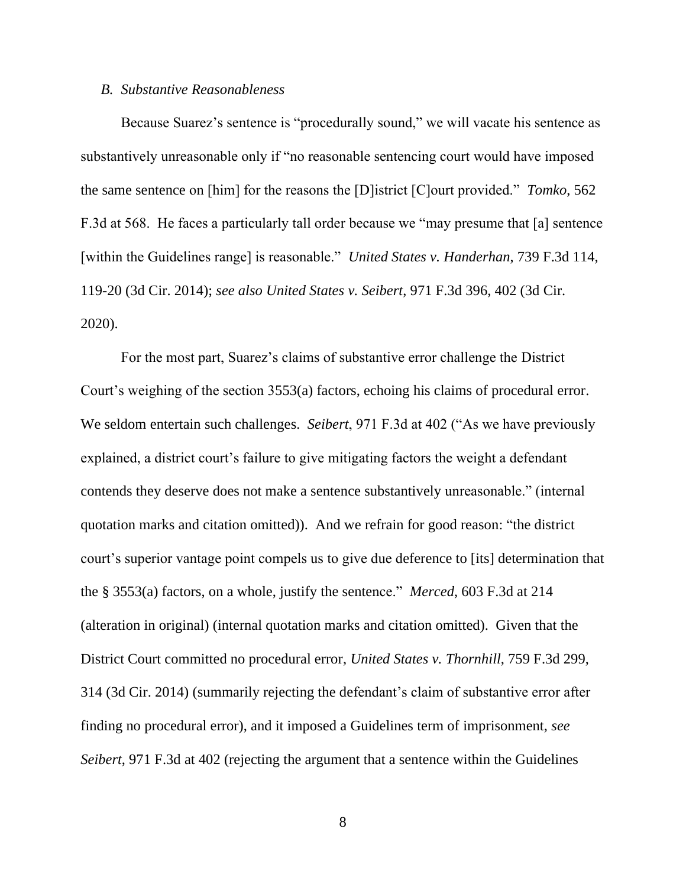#### *B. Substantive Reasonableness*

Because Suarez's sentence is "procedurally sound," we will vacate his sentence as substantively unreasonable only if "no reasonable sentencing court would have imposed the same sentence on [him] for the reasons the [D]istrict [C]ourt provided." *Tomko*, 562 F.3d at 568. He faces a particularly tall order because we "may presume that [a] sentence [within the Guidelines range] is reasonable." *United States v. Handerhan*, 739 F.3d 114, 119-20 (3d Cir. 2014); *see also United States v. Seibert*, 971 F.3d 396, 402 (3d Cir. 2020).

For the most part, Suarez's claims of substantive error challenge the District Court's weighing of the section 3553(a) factors, echoing his claims of procedural error. We seldom entertain such challenges. *Seibert*, 971 F.3d at 402 ("As we have previously explained, a district court's failure to give mitigating factors the weight a defendant contends they deserve does not make a sentence substantively unreasonable." (internal quotation marks and citation omitted)). And we refrain for good reason: "the district court's superior vantage point compels us to give due deference to [its] determination that the § 3553(a) factors, on a whole, justify the sentence." *Merced*, 603 F.3d at 214 (alteration in original) (internal quotation marks and citation omitted). Given that the District Court committed no procedural error, *United States v. Thornhill*, 759 F.3d 299, 314 (3d Cir. 2014) (summarily rejecting the defendant's claim of substantive error after finding no procedural error), and it imposed a Guidelines term of imprisonment, *see Seibert*, 971 F.3d at 402 (rejecting the argument that a sentence within the Guidelines